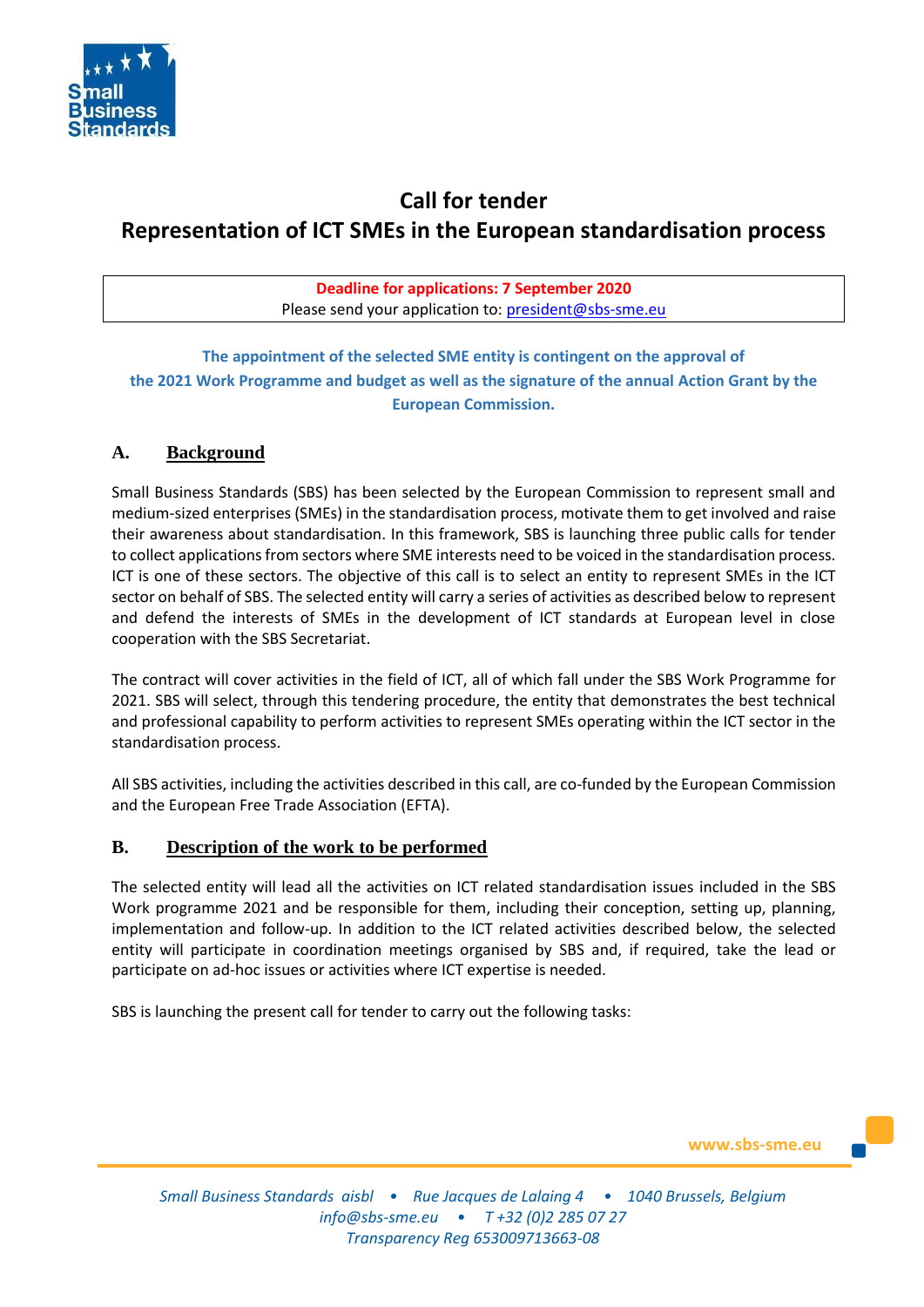

# **Call for tender Representation of ICT SMEs in the European standardisation process**

# **Deadline for applications: 7 September 2020** Please send your application to: [president@sbs-sme.eu](mailto:president@sbs-sme.eu)

**The appointment of the selected SME entity is contingent on the approval of the 2021 Work Programme and budget as well as the signature of the annual Action Grant by the European Commission.** 

# **A. Background**

Small Business Standards (SBS) has been selected by the European Commission to represent small and medium-sized enterprises (SMEs) in the standardisation process, motivate them to get involved and raise their awareness about standardisation. In this framework, SBS is launching three public calls for tender to collect applications from sectors where SME interests need to be voiced in the standardisation process. ICT is one of these sectors. The objective of this call is to select an entity to represent SMEs in the ICT sector on behalf of SBS. The selected entity will carry a series of activities as described below to represent and defend the interests of SMEs in the development of ICT standards at European level in close cooperation with the SBS Secretariat.

The contract will cover activities in the field of ICT, all of which fall under the SBS Work Programme for 2021. SBS will select, through this tendering procedure, the entity that demonstrates the best technical and professional capability to perform activities to represent SMEs operating within the ICT sector in the standardisation process.

All SBS activities, including the activities described in this call, are co-funded by the European Commission and the European Free Trade Association (EFTA).

# **B. Description of the work to be performed**

The selected entity will lead all the activities on ICT related standardisation issues included in the SBS Work programme 2021 and be responsible for them, including their conception, setting up, planning, implementation and follow-up. In addition to the ICT related activities described below, the selected entity will participate in coordination meetings organised by SBS and, if required, take the lead or participate on ad-hoc issues or activities where ICT expertise is needed.

SBS is launching the present call for tender to carry out the following tasks:

**www.sbs-sme.eu**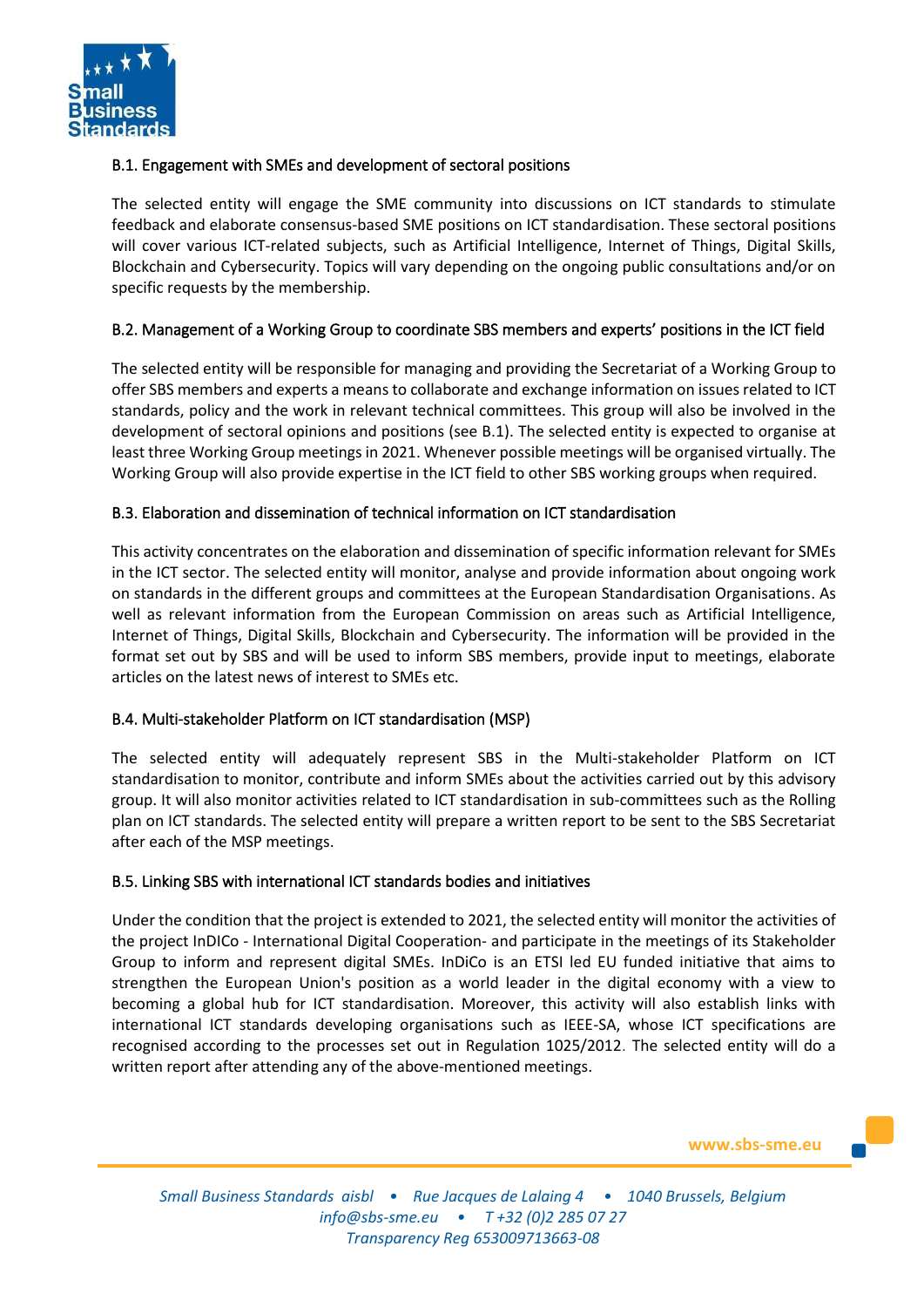

# B.1. Engagement with SMEs and development of sectoral positions

The selected entity will engage the SME community into discussions on ICT standards to stimulate feedback and elaborate consensus-based SME positions on ICT standardisation. These sectoral positions will cover various ICT-related subjects, such as Artificial Intelligence, Internet of Things, Digital Skills, Blockchain and Cybersecurity. Topics will vary depending on the ongoing public consultations and/or on specific requests by the membership.

# B.2. Management of a Working Group to coordinate SBS members and experts' positions in the ICT field

The selected entity will be responsible for managing and providing the Secretariat of a Working Group to offer SBS members and experts a means to collaborate and exchange information on issues related to ICT standards, policy and the work in relevant technical committees. This group will also be involved in the development of sectoral opinions and positions (see B.1). The selected entity is expected to organise at least three Working Group meetings in 2021. Whenever possible meetings will be organised virtually. The Working Group will also provide expertise in the ICT field to other SBS working groups when required.

# B.3. Elaboration and dissemination of technical information on ICT standardisation

This activity concentrates on the elaboration and dissemination of specific information relevant for SMEs in the ICT sector. The selected entity will monitor, analyse and provide information about ongoing work on standards in the different groups and committees at the European Standardisation Organisations. As well as relevant information from the European Commission on areas such as Artificial Intelligence, Internet of Things, Digital Skills, Blockchain and Cybersecurity. The information will be provided in the format set out by SBS and will be used to inform SBS members, provide input to meetings, elaborate articles on the latest news of interest to SMEs etc.

#### B.4. Multi-stakeholder Platform on ICT standardisation (MSP)

The selected entity will adequately represent SBS in the Multi-stakeholder Platform on ICT standardisation to monitor, contribute and inform SMEs about the activities carried out by this advisory group. It will also monitor activities related to ICT standardisation in sub-committees such as the Rolling plan on ICT standards. The selected entity will prepare a written report to be sent to the SBS Secretariat after each of the MSP meetings.

#### B.5. Linking SBS with international ICT standards bodies and initiatives

Under the condition that the project is extended to 2021, the selected entity will monitor the activities of the project InDICo - International Digital Cooperation- and participate in the meetings of its Stakeholder Group to inform and represent digital SMEs. InDiCo is an ETSI led EU funded initiative that aims to strengthen the European Union's position as a world leader in the digital economy with a view to becoming a global hub for ICT standardisation. Moreover, this activity will also establish links with international ICT standards developing organisations such as IEEE-SA, whose ICT specifications are recognised according to the processes set out in Regulation 1025/2012. The selected entity will do a written report after attending any of the above-mentioned meetings.

**www.sbs-sme.eu**

*Small Business Standards aisbl • Rue Jacques de Lalaing 4 • 1040 Brussels, Belgium [info@sbs-sme.eu](mailto:info@sbs-sme.eu) • T +32 (0)2 285 07 27 Transparency Reg 653009713663-08*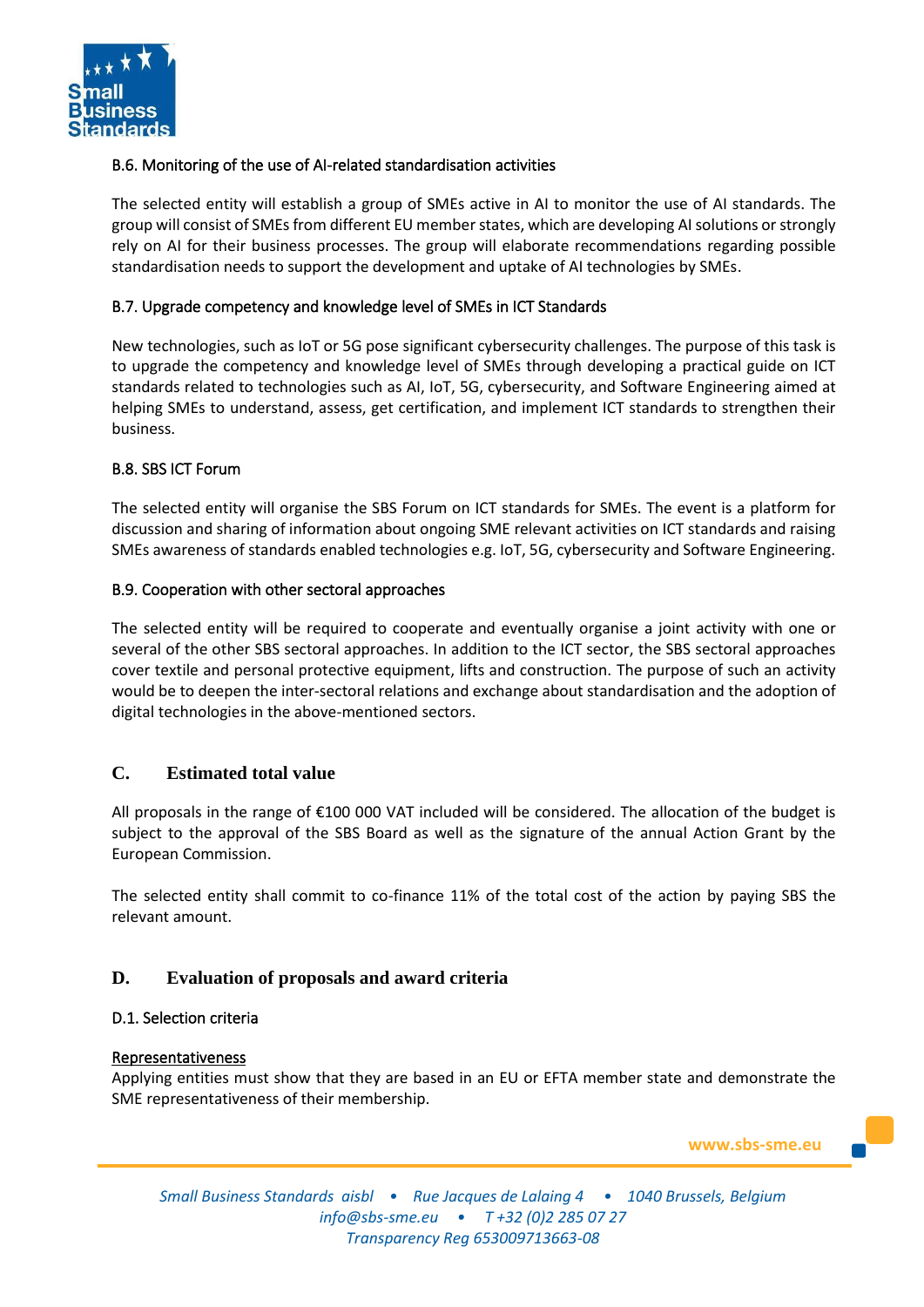

# B.6. Monitoring of the use of AI-related standardisation activities

The selected entity will establish a group of SMEs active in AI to monitor the use of AI standards. The group will consist of SMEs from different EU member states, which are developing AI solutions or strongly rely on AI for their business processes. The group will elaborate recommendations regarding possible standardisation needs to support the development and uptake of AI technologies by SMEs.

## B.7. Upgrade competency and knowledge level of SMEs in ICT Standards

New technologies, such as IoT or 5G pose significant cybersecurity challenges. The purpose of this task is to upgrade the competency and knowledge level of SMEs through developing a practical guide on ICT standards related to technologies such as AI, IoT, 5G, cybersecurity, and Software Engineering aimed at helping SMEs to understand, assess, get certification, and implement ICT standards to strengthen their business.

#### B.8. SBS ICT Forum

The selected entity will organise the SBS Forum on ICT standards for SMEs. The event is a platform for discussion and sharing of information about ongoing SME relevant activities on ICT standards and raising SMEs awareness of standards enabled technologies e.g. IoT, 5G, cybersecurity and Software Engineering.

#### B.9. Cooperation with other sectoral approaches

The selected entity will be required to cooperate and eventually organise a joint activity with one or several of the other SBS sectoral approaches. In addition to the ICT sector, the SBS sectoral approaches cover textile and personal protective equipment, lifts and construction. The purpose of such an activity would be to deepen the inter-sectoral relations and exchange about standardisation and the adoption of digital technologies in the above-mentioned sectors.

# **C. Estimated total value**

All proposals in the range of €100 000 VAT included will be considered. The allocation of the budget is subject to the approval of the SBS Board as well as the signature of the annual Action Grant by the European Commission.

The selected entity shall commit to co-finance 11% of the total cost of the action by paying SBS the relevant amount.

# **D. Evaluation of proposals and award criteria**

#### D.1. Selection criteria

#### **Representativeness**

Applying entities must show that they are based in an EU or EFTA member state and demonstrate the SME representativeness of their membership.

**www.sbs-sme.eu**

*Small Business Standards aisbl • Rue Jacques de Lalaing 4 • 1040 Brussels, Belgium [info@sbs-sme.eu](mailto:info@sbs-sme.eu) • T +32 (0)2 285 07 27 Transparency Reg 653009713663-08*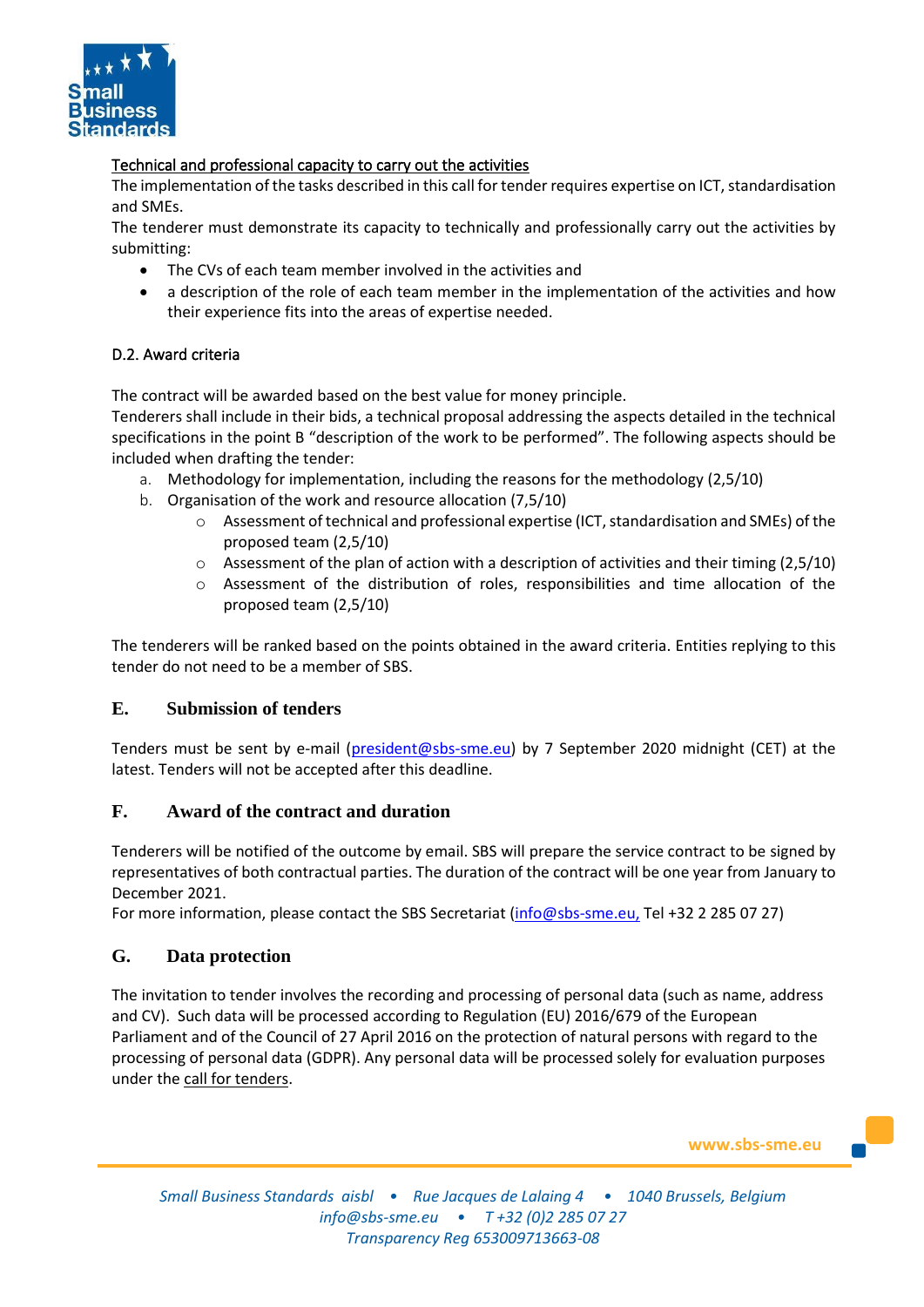

# Technical and professional capacity to carry out the activities

The implementation of the tasks described in this call for tender requires expertise on ICT, standardisation and SMEs.

The tenderer must demonstrate its capacity to technically and professionally carry out the activities by submitting:

- The CVs of each team member involved in the activities and
- a description of the role of each team member in the implementation of the activities and how their experience fits into the areas of expertise needed.

# D.2. Award criteria

The contract will be awarded based on the best value for money principle.

Tenderers shall include in their bids, a technical proposal addressing the aspects detailed in the technical specifications in the point B "description of the work to be performed". The following aspects should be included when drafting the tender:

- a. Methodology for implementation, including the reasons for the methodology (2,5/10)
- b. Organisation of the work and resource allocation (7,5/10)
	- o Assessment of technical and professional expertise (ICT, standardisation and SMEs) of the proposed team (2,5/10)
	- $\circ$  Assessment of the plan of action with a description of activities and their timing (2,5/10)
	- o Assessment of the distribution of roles, responsibilities and time allocation of the proposed team (2,5/10)

The tenderers will be ranked based on the points obtained in the award criteria. Entities replying to this tender do not need to be a member of SBS.

# **E. Submission of tenders**

Tenders must be sent by e-mail [\(president@sbs-sme.eu\)](mailto:president@sbs-sme.eu) by 7 September 2020 midnight (CET) at the latest. Tenders will not be accepted after this deadline.

# **F. Award of the contract and duration**

Tenderers will be notified of the outcome by email. SBS will prepare the service contract to be signed by representatives of both contractual parties. The duration of the contract will be one year from January to December 2021.

For more information, please contact the SBS Secretariat [\(info@sbs-sme.eu,](mailto:info@sbs-sme.eu) Tel +32 2 285 07 27)

# **G. Data protection**

The invitation to tender involves the recording and processing of personal data (such as name, address and CV). Such data will be processed according to Regulation (EU) 2016/679 of the European Parliament and of the Council of 27 April 2016 on the protection of natural persons with regard to the processing of personal data (GDPR). Any personal data will be processed solely for evaluation purposes under the call for tenders.

**www.sbs-sme.eu**